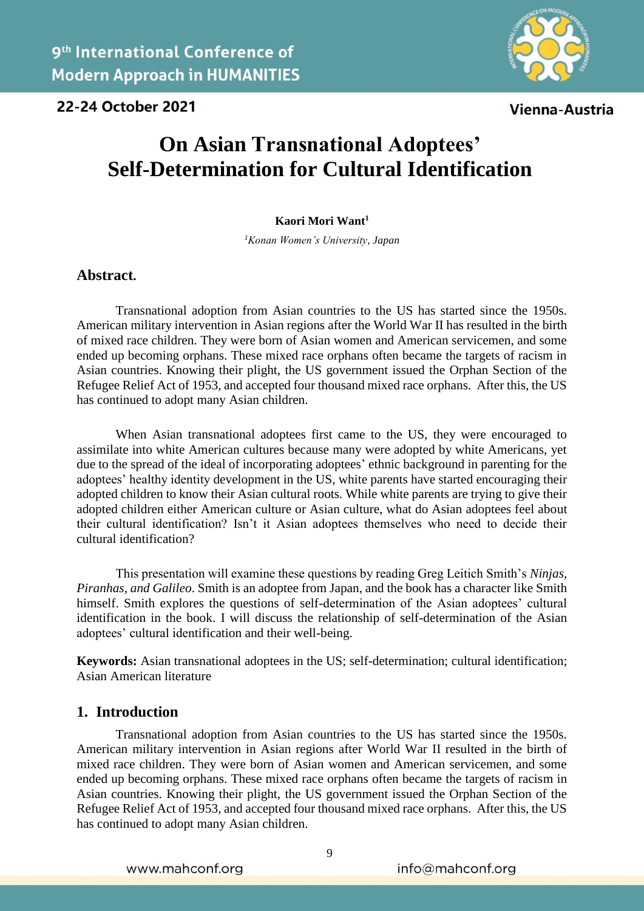22-24 October 2021



Vienna-Austria

# **On Asian Transnational Adoptees' Self-Determination for Cultural Identification**

#### **Kaori Mori Want<sup>1</sup>**

*<sup>1</sup>Konan Women's University, Japan*

#### **Abstract.**

Transnational adoption from Asian countries to the US has started since the 1950s. American military intervention in Asian regions after the World War II has resulted in the birth of mixed race children. They were born of Asian women and American servicemen, and some ended up becoming orphans. These mixed race orphans often became the targets of racism in Asian countries. Knowing their plight, the US government issued the Orphan Section of the Refugee Relief Act of 1953, and accepted four thousand mixed race orphans. After this, the US has continued to adopt many Asian children.

When Asian transnational adoptees first came to the US, they were encouraged to assimilate into white American cultures because many were adopted by white Americans, yet due to the spread of the ideal of incorporating adoptees' ethnic background in parenting for the adoptees' healthy identity development in the US, white parents have started encouraging their adopted children to know their Asian cultural roots. While white parents are trying to give their adopted children either American culture or Asian culture, what do Asian adoptees feel about their cultural identification? Isn't it Asian adoptees themselves who need to decide their cultural identification?

This presentation will examine these questions by reading Greg Leitich Smith's *Ninjas, Piranhas, and Galileo*. Smith is an adoptee from Japan, and the book has a character like Smith himself. Smith explores the questions of self-determination of the Asian adoptees' cultural identification in the book. I will discuss the relationship of self-determination of the Asian adoptees' cultural identification and their well-being.

**Keywords:** Asian transnational adoptees in the US; self-determination; cultural identification; Asian American literature

#### **1. Introduction**

Transnational adoption from Asian countries to the US has started since the 1950s. American military intervention in Asian regions after World War II resulted in the birth of mixed race children. They were born of Asian women and American servicemen, and some ended up becoming orphans. These mixed race orphans often became the targets of racism in Asian countries. Knowing their plight, the US government issued the Orphan Section of the Refugee Relief Act of 1953, and accepted four thousand mixed race orphans. After this, the US has continued to adopt many Asian children.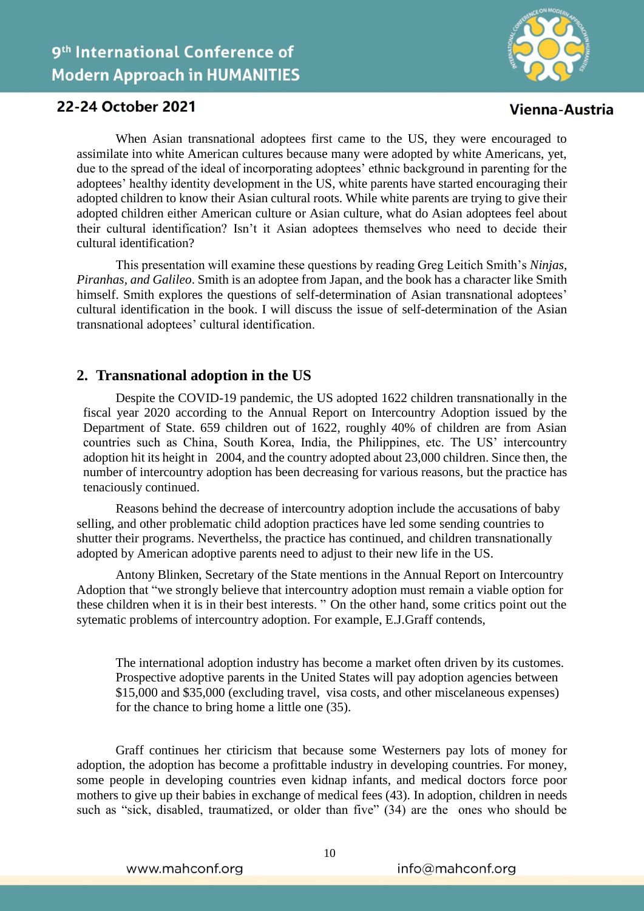

## 22-24 October 2021

When Asian transnational adoptees first came to the US, they were encouraged to assimilate into white American cultures because many were adopted by white Americans, yet, due to the spread of the ideal of incorporating adoptees' ethnic background in parenting for the adoptees' healthy identity development in the US, white parents have started encouraging their adopted children to know their Asian cultural roots. While white parents are trying to give their adopted children either American culture or Asian culture, what do Asian adoptees feel about their cultural identification? Isn't it Asian adoptees themselves who need to decide their cultural identification?

This presentation will examine these questions by reading Greg Leitich Smith's *Ninjas, Piranhas, and Galileo*. Smith is an adoptee from Japan, and the book has a character like Smith himself. Smith explores the questions of self-determination of Asian transnational adoptees' cultural identification in the book. I will discuss the issue of self-determination of the Asian transnational adoptees' cultural identification.

### **2. Transnational adoption in the US**

Despite the COVID-19 pandemic, the US adopted 1622 children transnationally in the fiscal year 2020 according to the Annual Report on Intercountry Adoption issued by the Department of State. 659 children out of 1622, roughly 40% of children are from Asian countries such as China, South Korea, India, the Philippines, etc. The US' intercountry adoption hit its height in 2004, and the country adopted about 23,000 children. Since then, the number of intercountry adoption has been decreasing for various reasons, but the practice has tenaciously continued.

Reasons behind the decrease of intercountry adoption include the accusations of baby selling, and other problematic child adoption practices have led some sending countries to shutter their programs. Neverthelss, the practice has continued, and children transnationally adopted by American adoptive parents need to adjust to their new life in the US.

Antony Blinken, Secretary of the State mentions in the Annual Report on Intercountry Adoption that "we strongly believe that intercountry adoption must remain a viable option for these children when it is in their best interests. " On the other hand, some critics point out the sytematic problems of intercountry adoption. For example, E.J.Graff contends,

The international adoption industry has become a market often driven by its customes. Prospective adoptive parents in the United States will pay adoption agencies between \$15,000 and \$35,000 (excluding travel, visa costs, and other miscelaneous expenses) for the chance to bring home a little one (35).

Graff continues her ctiricism that because some Westerners pay lots of money for adoption, the adoption has become a profittable industry in developing countries. For money, some people in developing countries even kidnap infants, and medical doctors force poor mothers to give up their babies in exchange of medical fees (43). In adoption, children in needs such as "sick, disabled, traumatized, or older than five" (34) are the ones who should be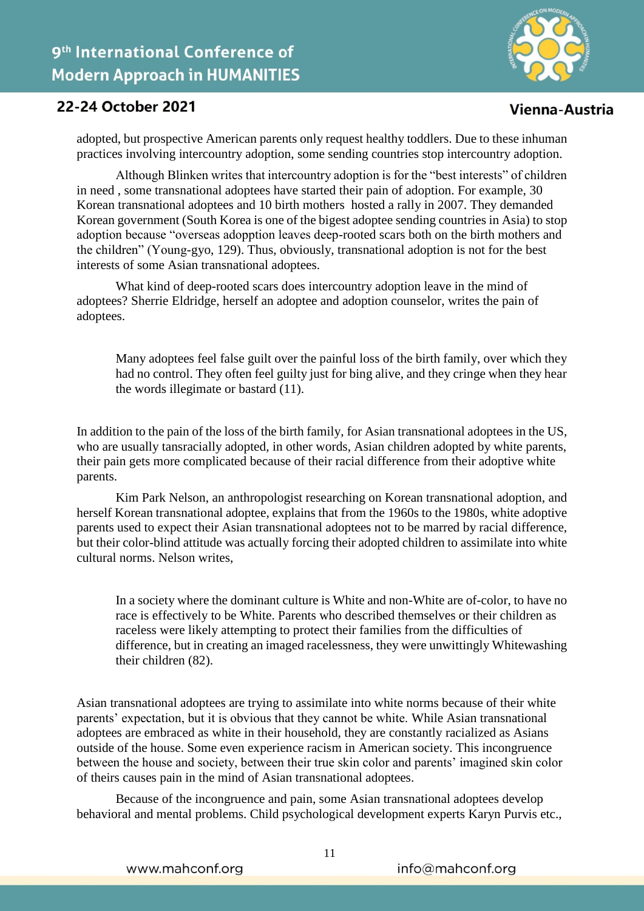

## 22-24 October 2021

adopted, but prospective American parents only request healthy toddlers. Due to these inhuman practices involving intercountry adoption, some sending countries stop intercountry adoption.

Although Blinken writes that intercountry adoption is for the "best interests" of children in need , some transnational adoptees have started their pain of adoption. For example, 30 Korean transnational adoptees and 10 birth mothers hosted a rally in 2007. They demanded Korean government (South Korea is one of the bigest adoptee sending countries in Asia) to stop adoption because "overseas adopption leaves deep-rooted scars both on the birth mothers and the children" (Young-gyo, 129). Thus, obviously, transnational adoption is not for the best interests of some Asian transnational adoptees.

What kind of deep-rooted scars does intercountry adoption leave in the mind of adoptees? Sherrie Eldridge, herself an adoptee and adoption counselor, writes the pain of adoptees.

Many adoptees feel false guilt over the painful loss of the birth family, over which they had no control. They often feel guilty just for bing alive, and they cringe when they hear the words illegimate or bastard (11).

In addition to the pain of the loss of the birth family, for Asian transnational adoptees in the US, who are usually tansracially adopted, in other words, Asian children adopted by white parents, their pain gets more complicated because of their racial difference from their adoptive white parents.

Kim Park Nelson, an anthropologist researching on Korean transnational adoption, and herself Korean transnational adoptee, explains that from the 1960s to the 1980s, white adoptive parents used to expect their Asian transnational adoptees not to be marred by racial difference, but their color-blind attitude was actually forcing their adopted children to assimilate into white cultural norms. Nelson writes,

In a society where the dominant culture is White and non-White are of-color, to have no race is effectively to be White. Parents who described themselves or their children as raceless were likely attempting to protect their families from the difficulties of difference, but in creating an imaged racelessness, they were unwittingly Whitewashing their children (82).

Asian transnational adoptees are trying to assimilate into white norms because of their white parents' expectation, but it is obvious that they cannot be white. While Asian transnational adoptees are embraced as white in their household, they are constantly racialized as Asians outside of the house. Some even experience racism in American society. This incongruence between the house and society, between their true skin color and parents' imagined skin color of theirs causes pain in the mind of Asian transnational adoptees.

Because of the incongruence and pain, some Asian transnational adoptees develop behavioral and mental problems. Child psychological development experts Karyn Purvis etc.,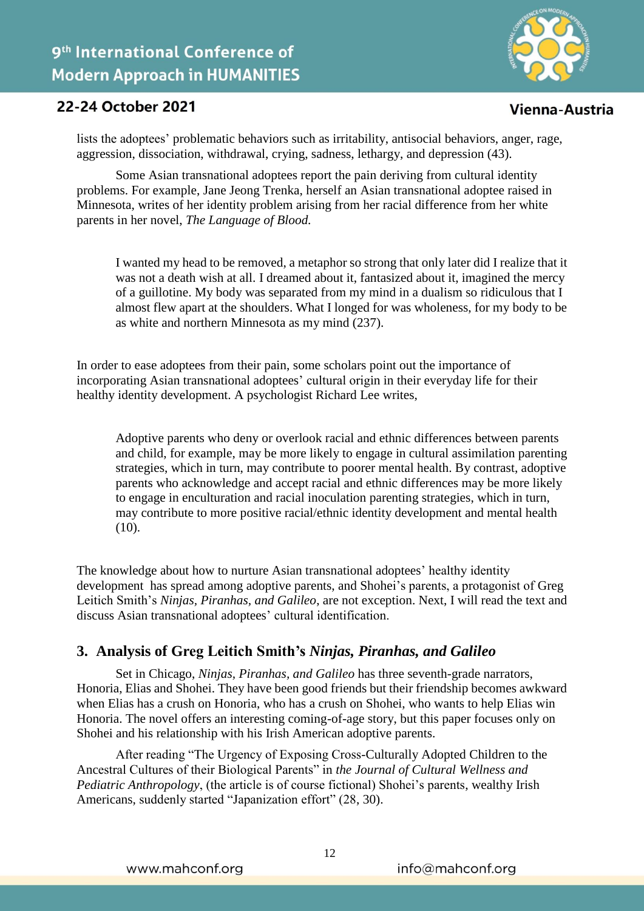

## 22-24 October 2021

lists the adoptees' problematic behaviors such as irritability, antisocial behaviors, anger, rage, aggression, dissociation, withdrawal, crying, sadness, lethargy, and depression (43).

Some Asian transnational adoptees report the pain deriving from cultural identity problems. For example, Jane Jeong Trenka, herself an Asian transnational adoptee raised in Minnesota, writes of her identity problem arising from her racial difference from her white parents in her novel, *The Language of Blood.*

I wanted my head to be removed, a metaphor so strong that only later did I realize that it was not a death wish at all. I dreamed about it, fantasized about it, imagined the mercy of a guillotine. My body was separated from my mind in a dualism so ridiculous that I almost flew apart at the shoulders. What I longed for was wholeness, for my body to be as white and northern Minnesota as my mind (237).

In order to ease adoptees from their pain, some scholars point out the importance of incorporating Asian transnational adoptees' cultural origin in their everyday life for their healthy identity development. A psychologist Richard Lee writes,

Adoptive parents who deny or overlook racial and ethnic differences between parents and child, for example, may be more likely to engage in cultural assimilation parenting strategies, which in turn, may contribute to poorer mental health. By contrast, adoptive parents who acknowledge and accept racial and ethnic differences may be more likely to engage in enculturation and racial inoculation parenting strategies, which in turn, may contribute to more positive racial/ethnic identity development and mental health  $(10).$ 

The knowledge about how to nurture Asian transnational adoptees' healthy identity development has spread among adoptive parents, and Shohei's parents, a protagonist of Greg Leitich Smith's *Ninjas, Piranhas, and Galileo*, are not exception. Next, I will read the text and discuss Asian transnational adoptees' cultural identification.

## **3. Analysis of Greg Leitich Smith's** *Ninjas, Piranhas, and Galileo*

Set in Chicago, *Ninjas, Piranhas, and Galileo* has three seventh-grade narrators, Honoria, Elias and Shohei. They have been good friends but their friendship becomes awkward when Elias has a crush on Honoria, who has a crush on Shohei, who wants to help Elias win Honoria. The novel offers an interesting coming-of-age story, but this paper focuses only on Shohei and his relationship with his Irish American adoptive parents.

After reading "The Urgency of Exposing Cross-Culturally Adopted Children to the Ancestral Cultures of their Biological Parents" in *the Journal of Cultural Wellness and Pediatric Anthropology*, (the article is of course fictional) Shohei's parents, wealthy Irish Americans, suddenly started "Japanization effort" (28, 30).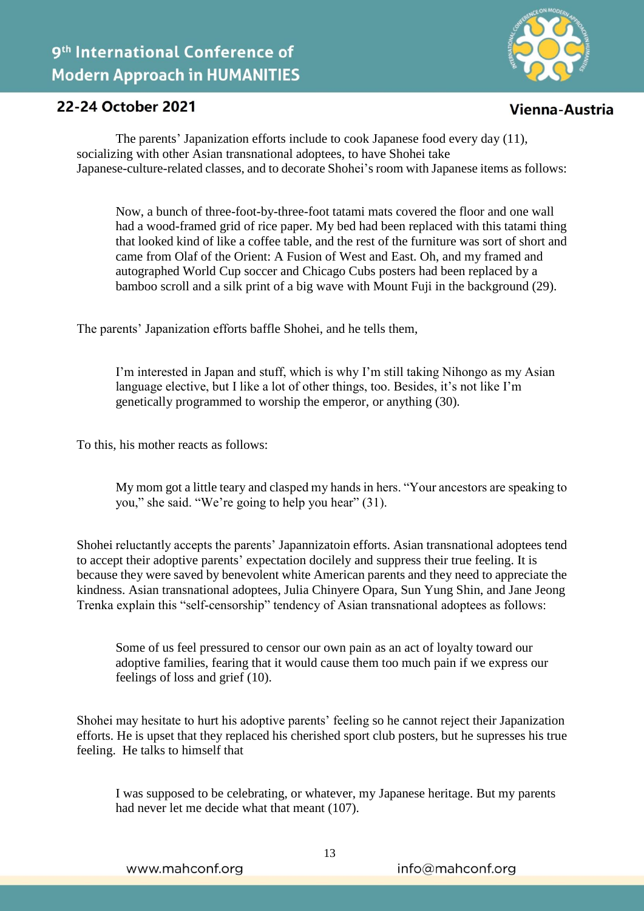

## 22-24 October 2021

The parents' Japanization efforts include to cook Japanese food every day (11), socializing with other Asian transnational adoptees, to have Shohei take Japanese-culture-related classes, and to decorate Shohei's room with Japanese items as follows:

Now, a bunch of three-foot-by-three-foot tatami mats covered the floor and one wall had a wood-framed grid of rice paper. My bed had been replaced with this tatami thing that looked kind of like a coffee table, and the rest of the furniture was sort of short and came from Olaf of the Orient: A Fusion of West and East. Oh, and my framed and autographed World Cup soccer and Chicago Cubs posters had been replaced by a bamboo scroll and a silk print of a big wave with Mount Fuji in the background (29).

The parents' Japanization efforts baffle Shohei, and he tells them,

I'm interested in Japan and stuff, which is why I'm still taking Nihongo as my Asian language elective, but I like a lot of other things, too. Besides, it's not like I'm genetically programmed to worship the emperor, or anything (30).

To this, his mother reacts as follows:

My mom got a little teary and clasped my hands in hers. "Your ancestors are speaking to you," she said. "We're going to help you hear" (31).

Shohei reluctantly accepts the parents' Japannizatoin efforts. Asian transnational adoptees tend to accept their adoptive parents' expectation docilely and suppress their true feeling. It is because they were saved by benevolent white American parents and they need to appreciate the kindness. Asian transnational adoptees, Julia Chinyere Opara, Sun Yung Shin, and Jane Jeong Trenka explain this "self-censorship" tendency of Asian transnational adoptees as follows:

Some of us feel pressured to censor our own pain as an act of loyalty toward our adoptive families, fearing that it would cause them too much pain if we express our feelings of loss and grief (10).

Shohei may hesitate to hurt his adoptive parents' feeling so he cannot reject their Japanization efforts. He is upset that they replaced his cherished sport club posters, but he supresses his true feeling. He talks to himself that

I was supposed to be celebrating, or whatever, my Japanese heritage. But my parents had never let me decide what that meant (107).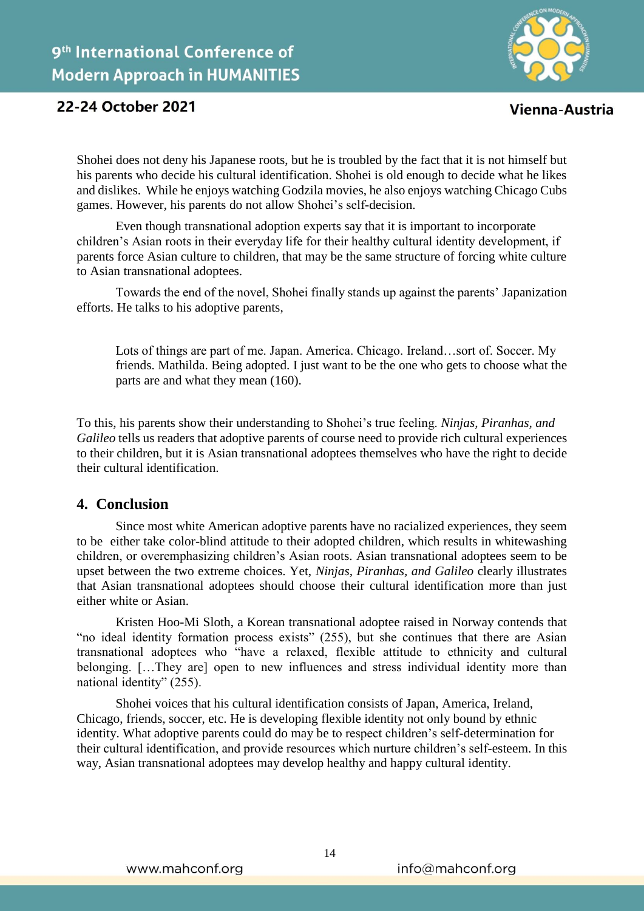

## 22-24 October 2021

Shohei does not deny his Japanese roots, but he is troubled by the fact that it is not himself but his parents who decide his cultural identification. Shohei is old enough to decide what he likes and dislikes. While he enjoys watching Godzila movies, he also enjoys watching Chicago Cubs games. However, his parents do not allow Shohei's self-decision.

Even though transnational adoption experts say that it is important to incorporate children's Asian roots in their everyday life for their healthy cultural identity development, if parents force Asian culture to children, that may be the same structure of forcing white culture to Asian transnational adoptees.

Towards the end of the novel, Shohei finally stands up against the parents' Japanization efforts. He talks to his adoptive parents,

Lots of things are part of me. Japan. America. Chicago. Ireland…sort of. Soccer. My friends. Mathilda. Being adopted. I just want to be the one who gets to choose what the parts are and what they mean (160).

To this, his parents show their understanding to Shohei's true feeling. *Ninjas, Piranhas, and Galileo* tells us readers that adoptive parents of course need to provide rich cultural experiences to their children, but it is Asian transnational adoptees themselves who have the right to decide their cultural identification.

### **4. Conclusion**

Since most white American adoptive parents have no racialized experiences, they seem to be either take color-blind attitude to their adopted children, which results in whitewashing children, or overemphasizing children's Asian roots. Asian transnational adoptees seem to be upset between the two extreme choices. Yet, *Ninjas, Piranhas, and Galileo* clearly illustrates that Asian transnational adoptees should choose their cultural identification more than just either white or Asian.

Kristen Hoo-Mi Sloth, a Korean transnational adoptee raised in Norway contends that "no ideal identity formation process exists" (255), but she continues that there are Asian transnational adoptees who "have a relaxed, flexible attitude to ethnicity and cultural belonging. […They are] open to new influences and stress individual identity more than national identity" (255).

Shohei voices that his cultural identification consists of Japan, America, Ireland, Chicago, friends, soccer, etc. He is developing flexible identity not only bound by ethnic identity. What adoptive parents could do may be to respect children's self-determination for their cultural identification, and provide resources which nurture children's self-esteem. In this way, Asian transnational adoptees may develop healthy and happy cultural identity.